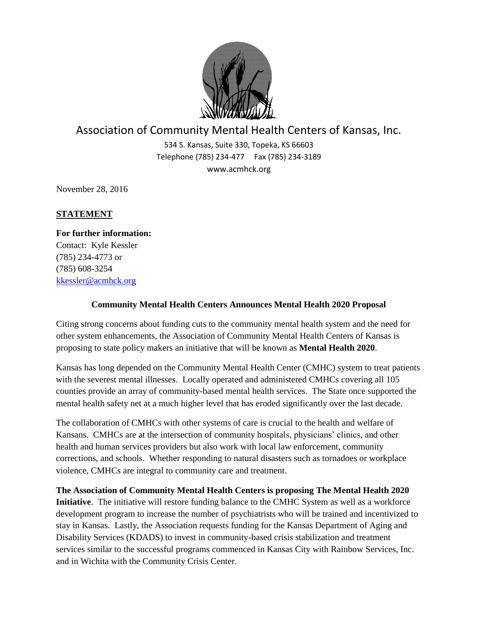

## Association of Community Mental Health Centers of Kansas, Inc.

534 S. Kansas, Suite 330, Topeka, KS 66603 Telephone (785) 234-477 Fax (785) 234-3189 www.acmhck.org

November 28, 2016

## **STATEMENT**

**For further information:** Contact: Kyle Kessler (785) 234-4773 or (785) 608-3254 [kkessler@acmhck.org](mailto:kkessler@acmhck.org)

## **Community Mental Health Centers Announces Mental Health 2020 Proposal**

Citing strong concerns about funding cuts to the community mental health system and the need for other system enhancements, the Association of Community Mental Health Centers of Kansas is proposing to state policy makers an initiative that will be known as **Mental Health 2020**.

Kansas has long depended on the Community Mental Health Center (CMHC) system to treat patients with the severest mental illnesses. Locally operated and administered CMHCs covering all 105 counties provide an array of community-based mental health services. The State once supported the mental health safety net at a much higher level that has eroded significantly over the last decade.

The collaboration of CMHCs with other systems of care is crucial to the health and welfare of Kansans. CMHCs are at the intersection of community hospitals, physicians' clinics, and other health and human services providers but also work with local law enforcement, community corrections, and schools. Whether responding to natural disasters such as tornadoes or workplace violence, CMHCs are integral to community care and treatment.

**The Association of Community Mental Health Centers is proposing The Mental Health 2020 Initiative**. The initiative will restore funding balance to the CMHC System as well as a workforce development program to increase the number of psychiatrists who will be trained and incentivized to stay in Kansas. Lastly, the Association requests funding for the Kansas Department of Aging and Disability Services (KDADS) to invest in community-based crisis stabilization and treatment services similar to the successful programs commenced in Kansas City with Rainbow Services, Inc. and in Wichita with the Community Crisis Center.